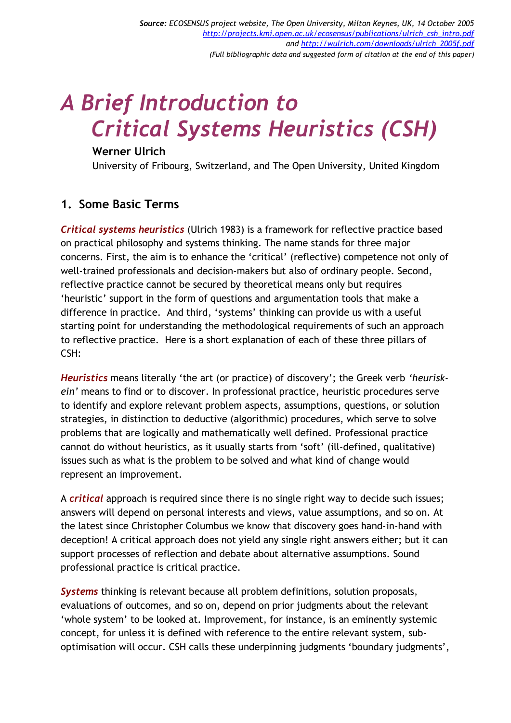# *A Brief Introduction to Critical Systems Heuristics (CSH)*

### **Werner Ulrich**

University of Fribourg, Switzerland, and The Open University, United Kingdom

## **1. Some Basic Terms**

*Critical systems heuristics* (Ulrich 1983) is a framework for reflective practice based on practical philosophy and systems thinking. The name stands for three major concerns. First, the aim is to enhance the 'critical' (reflective) competence not only of well-trained professionals and decision-makers but also of ordinary people. Second, reflective practice cannot be secured by theoretical means only but requires 'heuristic' support in the form of questions and argumentation tools that make a difference in practice. And third, 'systems' thinking can provide us with a useful starting point for understanding the methodological requirements of such an approach to reflective practice. Here is a short explanation of each of these three pillars of CSH:

*Heuristics* means literally 'the art (or practice) of discovery'; the Greek verb *'heuriskein'* means to find or to discover. In professional practice, heuristic procedures serve to identify and explore relevant problem aspects, assumptions, questions, or solution strategies, in distinction to deductive (algorithmic) procedures, which serve to solve problems that are logically and mathematically well defined. Professional practice cannot do without heuristics, as it usually starts from 'soft' (ill-defined, qualitative) issues such as what is the problem to be solved and what kind of change would represent an improvement.

A *critical* approach is required since there is no single right way to decide such issues; answers will depend on personal interests and views, value assumptions, and so on. At the latest since Christopher Columbus we know that discovery goes hand-in-hand with deception! A critical approach does not yield any single right answers either; but it can support processes of reflection and debate about alternative assumptions. Sound professional practice is critical practice.

*Systems* thinking is relevant because all problem definitions, solution proposals, evaluations of outcomes, and so on, depend on prior judgments about the relevant 'whole system' to be looked at. Improvement, for instance, is an eminently systemic concept, for unless it is defined with reference to the entire relevant system, suboptimisation will occur. CSH calls these underpinning judgments 'boundary judgments',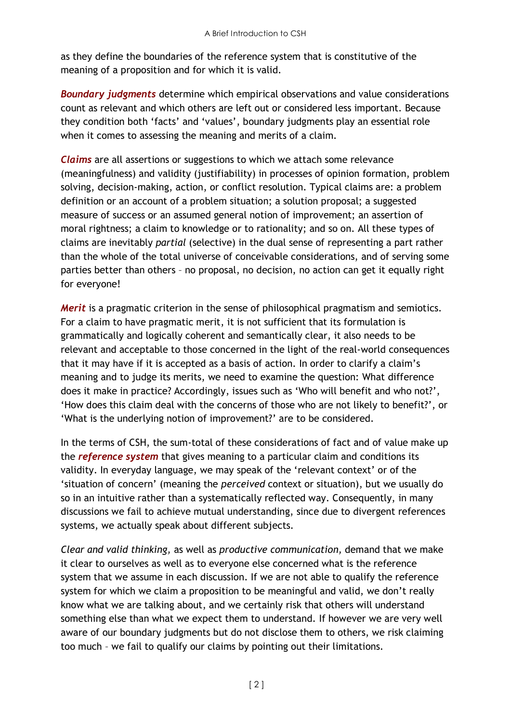as they define the boundaries of the reference system that is constitutive of the meaning of a proposition and for which it is valid.

*Boundary judgments* determine which empirical observations and value considerations count as relevant and which others are left out or considered less important. Because they condition both 'facts' and 'values', boundary judgments play an essential role when it comes to assessing the meaning and merits of a claim.

*Claims* are all assertions or suggestions to which we attach some relevance (meaningfulness) and validity (justifiability) in processes of opinion formation, problem solving, decision-making, action, or conflict resolution. Typical claims are: a problem definition or an account of a problem situation; a solution proposal; a suggested measure of success or an assumed general notion of improvement; an assertion of moral rightness; a claim to knowledge or to rationality; and so on. All these types of claims are inevitably *partial* (selective) in the dual sense of representing a part rather than the whole of the total universe of conceivable considerations, and of serving some parties better than others – no proposal, no decision, no action can get it equally right for everyone!

*Merit* is a pragmatic criterion in the sense of philosophical pragmatism and semiotics. For a claim to have pragmatic merit, it is not sufficient that its formulation is grammatically and logically coherent and semantically clear, it also needs to be relevant and acceptable to those concerned in the light of the real-world consequences that it may have if it is accepted as a basis of action. In order to clarify a claim's meaning and to judge its merits, we need to examine the question: What difference does it make in practice? Accordingly, issues such as 'Who will benefit and who not?', 'How does this claim deal with the concerns of those who are not likely to benefit?', or 'What is the underlying notion of improvement?' are to be considered.

In the terms of CSH, the sum-total of these considerations of fact and of value make up the *reference system* that gives meaning to a particular claim and conditions its validity. In everyday language, we may speak of the 'relevant context' or of the 'situation of concern' (meaning the *perceived* context or situation), but we usually do so in an intuitive rather than a systematically reflected way. Consequently, in many discussions we fail to achieve mutual understanding, since due to divergent references systems, we actually speak about different subjects.

*Clear and valid thinking,* as well as *productive communication,* demand that we make it clear to ourselves as well as to everyone else concerned what is the reference system that we assume in each discussion. If we are not able to qualify the reference system for which we claim a proposition to be meaningful and valid, we don't really know what we are talking about, and we certainly risk that others will understand something else than what we expect them to understand. If however we are very well aware of our boundary judgments but do not disclose them to others, we risk claiming too much – we fail to qualify our claims by pointing out their limitations.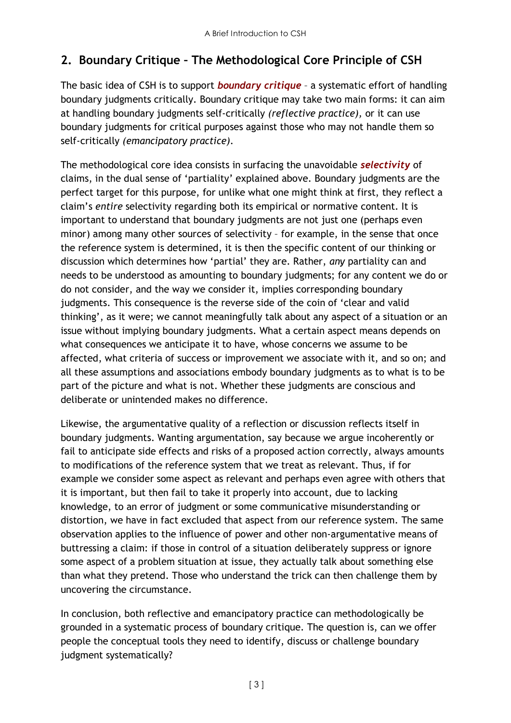# **2. Boundary Critique – The Methodological Core Principle of CSH**

The basic idea of CSH is to support *boundary critique* – a systematic effort of handling boundary judgments critically. Boundary critique may take two main forms: it can aim at handling boundary judgments self-critically *(reflective practice),* or it can use boundary judgments for critical purposes against those who may not handle them so self-critically *(emancipatory practice).* 

The methodological core idea consists in surfacing the unavoidable *selectivity* of claims, in the dual sense of 'partiality' explained above. Boundary judgments are the perfect target for this purpose, for unlike what one might think at first, they reflect a claim's *entire* selectivity regarding both its empirical or normative content. It is important to understand that boundary judgments are not just one (perhaps even minor) among many other sources of selectivity – for example, in the sense that once the reference system is determined, it is then the specific content of our thinking or discussion which determines how 'partial' they are. Rather, *any* partiality can and needs to be understood as amounting to boundary judgments; for any content we do or do not consider, and the way we consider it, implies corresponding boundary judgments. This consequence is the reverse side of the coin of 'clear and valid thinking', as it were; we cannot meaningfully talk about any aspect of a situation or an issue without implying boundary judgments. What a certain aspect means depends on what consequences we anticipate it to have, whose concerns we assume to be affected, what criteria of success or improvement we associate with it, and so on; and all these assumptions and associations embody boundary judgments as to what is to be part of the picture and what is not. Whether these judgments are conscious and deliberate or unintended makes no difference.

Likewise, the argumentative quality of a reflection or discussion reflects itself in boundary judgments. Wanting argumentation, say because we argue incoherently or fail to anticipate side effects and risks of a proposed action correctly, always amounts to modifications of the reference system that we treat as relevant. Thus, if for example we consider some aspect as relevant and perhaps even agree with others that it is important, but then fail to take it properly into account, due to lacking knowledge, to an error of judgment or some communicative misunderstanding or distortion, we have in fact excluded that aspect from our reference system. The same observation applies to the influence of power and other non-argumentative means of buttressing a claim: if those in control of a situation deliberately suppress or ignore some aspect of a problem situation at issue, they actually talk about something else than what they pretend. Those who understand the trick can then challenge them by uncovering the circumstance.

In conclusion, both reflective and emancipatory practice can methodologically be grounded in a systematic process of boundary critique. The question is, can we offer people the conceptual tools they need to identify, discuss or challenge boundary judgment systematically?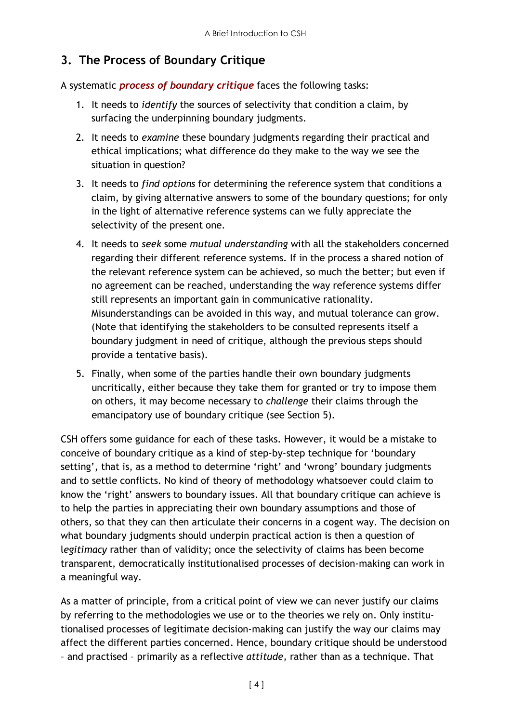# **3. The Process of Boundary Critique**

A systematic *process of boundary critique* faces the following tasks:

- 1. It needs to *identify* the sources of selectivity that condition a claim, by surfacing the underpinning boundary judgments.
- 2. It needs to *examine* these boundary judgments regarding their practical and ethical implications; what difference do they make to the way we see the situation in question?
- 3. It needs to *find options* for determining the reference system that conditions a claim, by giving alternative answers to some of the boundary questions; for only in the light of alternative reference systems can we fully appreciate the selectivity of the present one.
- 4. It needs to *seek* some *mutual understanding* with all the stakeholders concerned regarding their different reference systems. If in the process a shared notion of the relevant reference system can be achieved, so much the better; but even if no agreement can be reached, understanding the way reference systems differ still represents an important gain in communicative rationality. Misunderstandings can be avoided in this way, and mutual tolerance can grow. (Note that identifying the stakeholders to be consulted represents itself a boundary judgment in need of critique, although the previous steps should provide a tentative basis).
- 5. Finally, when some of the parties handle their own boundary judgments uncritically, either because they take them for granted or try to impose them on others, it may become necessary to *challenge* their claims through the emancipatory use of boundary critique (see Section 5).

CSH offers some guidance for each of these tasks. However, it would be a mistake to conceive of boundary critique as a kind of step-by-step technique for 'boundary setting', that is, as a method to determine 'right' and 'wrong' boundary judgments and to settle conflicts. No kind of theory of methodology whatsoever could claim to know the 'right' answers to boundary issues. All that boundary critique can achieve is to help the parties in appreciating their own boundary assumptions and those of others, so that they can then articulate their concerns in a cogent way. The decision on what boundary judgments should underpin practical action is then a question of l*egitimacy* rather than of validity; once the selectivity of claims has been become transparent, democratically institutionalised processes of decision-making can work in a meaningful way.

As a matter of principle, from a critical point of view we can never justify our claims by referring to the methodologies we use or to the theories we rely on. Only institutionalised processes of legitimate decision-making can justify the way our claims may affect the different parties concerned. Hence, boundary critique should be understood – and practised – primarily as a reflective *attitude,* rather than as a technique. That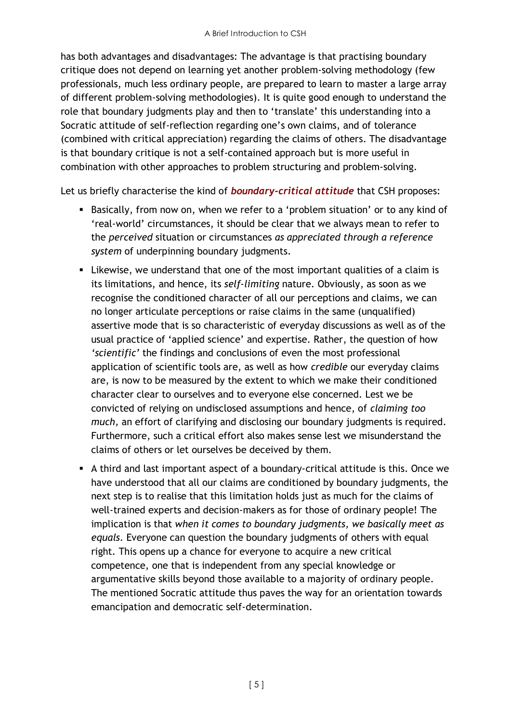has both advantages and disadvantages: The advantage is that practising boundary critique does not depend on learning yet another problem-solving methodology (few professionals, much less ordinary people, are prepared to learn to master a large array of different problem-solving methodologies). It is quite good enough to understand the role that boundary judgments play and then to 'translate' this understanding into a Socratic attitude of self-reflection regarding one's own claims, and of tolerance (combined with critical appreciation) regarding the claims of others. The disadvantage is that boundary critique is not a self-contained approach but is more useful in combination with other approaches to problem structuring and problem-solving.

Let us briefly characterise the kind of *boundary-critical attitude* that CSH proposes:

- Basically, from now on, when we refer to a 'problem situation' or to any kind of 'real-world' circumstances, it should be clear that we always mean to refer to the *perceived* situation or circumstances *as appreciated through a reference system* of underpinning boundary judgments.
- Likewise, we understand that one of the most important qualities of a claim is its limitations, and hence, its *self-limiting* nature. Obviously, as soon as we recognise the conditioned character of all our perceptions and claims, we can no longer articulate perceptions or raise claims in the same (unqualified) assertive mode that is so characteristic of everyday discussions as well as of the usual practice of 'applied science' and expertise. Rather, the question of how *'scientific'* the findings and conclusions of even the most professional application of scientific tools are, as well as how *credible* our everyday claims are, is now to be measured by the extent to which we make their conditioned character clear to ourselves and to everyone else concerned. Lest we be convicted of relying on undisclosed assumptions and hence, of *claiming too much,* an effort of clarifying and disclosing our boundary judgments is required. Furthermore, such a critical effort also makes sense lest we misunderstand the claims of others or let ourselves be deceived by them.
- A third and last important aspect of a boundary-critical attitude is this. Once we have understood that all our claims are conditioned by boundary judgments, the next step is to realise that this limitation holds just as much for the claims of well-trained experts and decision-makers as for those of ordinary people! The implication is that *when it comes to boundary judgments, we basically meet as equals.* Everyone can question the boundary judgments of others with equal right. This opens up a chance for everyone to acquire a new critical competence, one that is independent from any special knowledge or argumentative skills beyond those available to a majority of ordinary people. The mentioned Socratic attitude thus paves the way for an orientation towards emancipation and democratic self-determination.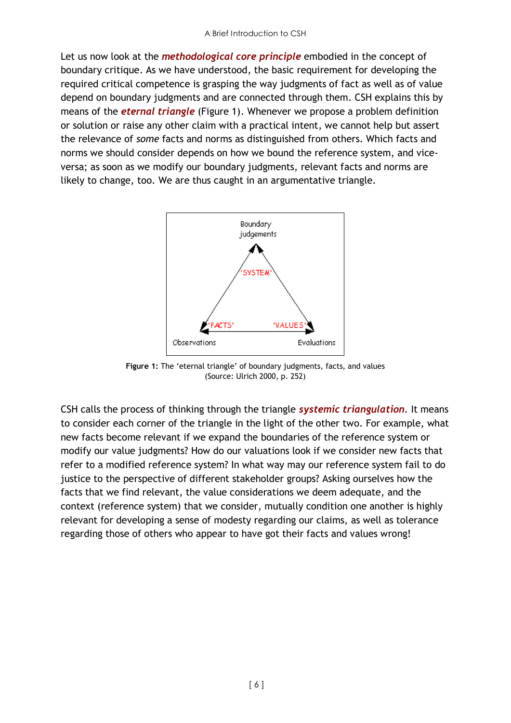Let us now look at the *methodological core principle* embodied in the concept of boundary critique. As we have understood, the basic requirement for developing the required critical competence is grasping the way judgments of fact as well as of value depend on boundary judgments and are connected through them. CSH explains this by means of the *eternal triangle* (Figure 1). Whenever we propose a problem definition or solution or raise any other claim with a practical intent, we cannot help but assert the relevance of *some* facts and norms as distinguished from others. Which facts and norms we should consider depends on how we bound the reference system, and viceversa; as soon as we modify our boundary judgments, relevant facts and norms are likely to change, too. We are thus caught in an argumentative triangle.



**Figure 1:** The 'eternal triangle' of boundary judgments, facts, and values (Source: Ulrich 2000, p. 252)

CSH calls the process of thinking through the triangle *systemic triangulation.* It means to consider each corner of the triangle in the light of the other two. For example, what new facts become relevant if we expand the boundaries of the reference system or modify our value judgments? How do our valuations look if we consider new facts that refer to a modified reference system? In what way may our reference system fail to do justice to the perspective of different stakeholder groups? Asking ourselves how the facts that we find relevant, the value considerations we deem adequate, and the context (reference system) that we consider, mutually condition one another is highly relevant for developing a sense of modesty regarding our claims, as well as tolerance regarding those of others who appear to have got their facts and values wrong!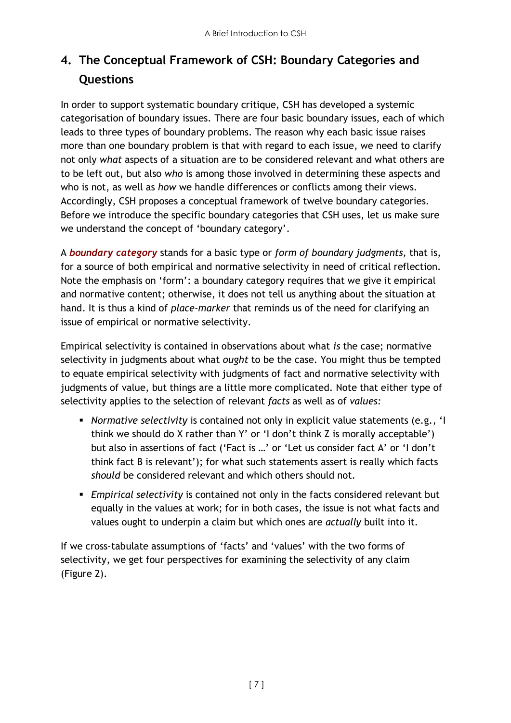# **4. The Conceptual Framework of CSH: Boundary Categories and Questions**

In order to support systematic boundary critique, CSH has developed a systemic categorisation of boundary issues. There are four basic boundary issues, each of which leads to three types of boundary problems. The reason why each basic issue raises more than one boundary problem is that with regard to each issue, we need to clarify not only *what* aspects of a situation are to be considered relevant and what others are to be left out, but also *who* is among those involved in determining these aspects and who is not, as well as *how* we handle differences or conflicts among their views. Accordingly, CSH proposes a conceptual framework of twelve boundary categories. Before we introduce the specific boundary categories that CSH uses, let us make sure we understand the concept of 'boundary category'.

A *boundary category* stands for a basic type or *form of boundary judgments,* that is, for a source of both empirical and normative selectivity in need of critical reflection. Note the emphasis on 'form': a boundary category requires that we give it empirical and normative content; otherwise, it does not tell us anything about the situation at hand. It is thus a kind of *place-marker* that reminds us of the need for clarifying an issue of empirical or normative selectivity.

Empirical selectivity is contained in observations about what *is* the case; normative selectivity in judgments about what *ought* to be the case. You might thus be tempted to equate empirical selectivity with judgments of fact and normative selectivity with judgments of value, but things are a little more complicated. Note that either type of selectivity applies to the selection of relevant *facts* as well as of *values:*

- *Normative selectivity* is contained not only in explicit value statements (e.g., 'I think we should do X rather than Y' or 'I don't think Z is morally acceptable') but also in assertions of fact ('Fact is …' or 'Let us consider fact A' or 'I don't think fact B is relevant'); for what such statements assert is really which facts *should* be considered relevant and which others should not.
- *Empirical selectivity* is contained not only in the facts considered relevant but equally in the values at work; for in both cases, the issue is not what facts and values ought to underpin a claim but which ones are *actually* built into it.

If we cross-tabulate assumptions of 'facts' and 'values' with the two forms of selectivity, we get four perspectives for examining the selectivity of any claim (Figure 2).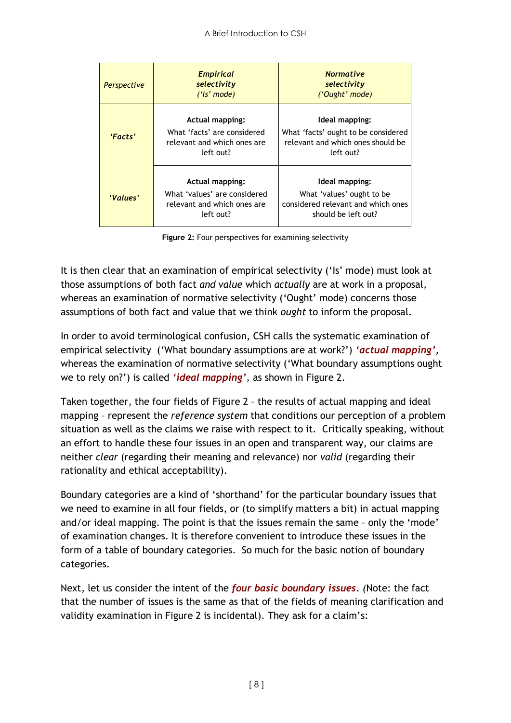| Perspective | <b>Empirical</b><br>selectivity<br>('ls' mode)                                              | <b>Normative</b><br>selectivity<br>('Ought' mode)                                                        |
|-------------|---------------------------------------------------------------------------------------------|----------------------------------------------------------------------------------------------------------|
| 'Facts'     | Actual mapping:<br>What 'facts' are considered<br>relevant and which ones are<br>left out?  | Ideal mapping:<br>What 'facts' ought to be considered<br>relevant and which ones should be<br>left out?  |
| 'Values'    | Actual mapping:<br>What 'values' are considered<br>relevant and which ones are<br>left out? | Ideal mapping:<br>What 'values' ought to be<br>considered relevant and which ones<br>should be left out? |

**Figure 2:** Four perspectives for examining selectivity

It is then clear that an examination of empirical selectivity ('Is' mode) must look at those assumptions of both fact *and value* which *actually* are at work in a proposal, whereas an examination of normative selectivity ('Ought' mode) concerns those assumptions of both fact and value that we think *ought* to inform the proposal.

In order to avoid terminological confusion, CSH calls the systematic examination of empirical selectivity ('What boundary assumptions are at work?') *'actual mapping',* whereas the examination of normative selectivity ('What boundary assumptions ought we to rely on?') is called *'ideal mapping',* as shown in Figure 2.

Taken together, the four fields of Figure 2 – the results of actual mapping and ideal mapping – represent the *reference system* that conditions our perception of a problem situation as well as the claims we raise with respect to it. Critically speaking, without an effort to handle these four issues in an open and transparent way, our claims are neither *clear* (regarding their meaning and relevance) nor *valid* (regarding their rationality and ethical acceptability).

Boundary categories are a kind of 'shorthand' for the particular boundary issues that we need to examine in all four fields, or (to simplify matters a bit) in actual mapping and/or ideal mapping. The point is that the issues remain the same – only the 'mode' of examination changes. It is therefore convenient to introduce these issues in the form of a table of boundary categories. So much for the basic notion of boundary categories.

Next, let us consider the intent of the *four basic boundary issues. (*Note: the fact that the number of issues is the same as that of the fields of meaning clarification and validity examination in Figure 2 is incidental). They ask for a claim's: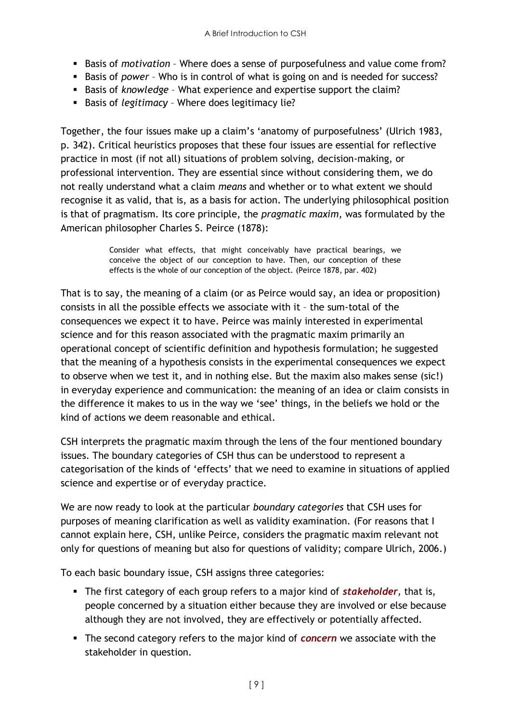- Basis of *motivation* Where does a sense of purposefulness and value come from?
- Basis of *power* Who is in control of what is going on and is needed for success?
- Basis of *knowledge* What experience and expertise support the claim?
- Basis of *legitimacy* Where does legitimacy lie?

Together, the four issues make up a claim's 'anatomy of purposefulness' (Ulrich 1983, p. 342). Critical heuristics proposes that these four issues are essential for reflective practice in most (if not all) situations of problem solving, decision-making, or professional intervention. They are essential since without considering them, we do not really understand what a claim *means* and whether or to what extent we should recognise it as valid, that is, as a basis for action. The underlying philosophical position is that of pragmatism. Its core principle, the *pragmatic maxim,* was formulated by the American philosopher Charles S. Peirce (1878):

> Consider what effects, that might conceivably have practical bearings, we conceive the object of our conception to have. Then, our conception of these effects is the whole of our conception of the object. (Peirce 1878, par. 402)

That is to say, the meaning of a claim (or as Peirce would say, an idea or proposition) consists in all the possible effects we associate with it – the sum-total of the consequences we expect it to have. Peirce was mainly interested in experimental science and for this reason associated with the pragmatic maxim primarily an operational concept of scientific definition and hypothesis formulation; he suggested that the meaning of a hypothesis consists in the experimental consequences we expect to observe when we test it, and in nothing else. But the maxim also makes sense (sic!) in everyday experience and communication: the meaning of an idea or claim consists in the difference it makes to us in the way we 'see' things, in the beliefs we hold or the kind of actions we deem reasonable and ethical.

CSH interprets the pragmatic maxim through the lens of the four mentioned boundary issues. The boundary categories of CSH thus can be understood to represent a categorisation of the kinds of 'effects' that we need to examine in situations of applied science and expertise or of everyday practice.

We are now ready to look at the particular *boundary categories* that CSH uses for purposes of meaning clarification as well as validity examination. (For reasons that I cannot explain here, CSH, unlike Peirce, considers the pragmatic maxim relevant not only for questions of meaning but also for questions of validity; compare Ulrich, 2006.)

To each basic boundary issue, CSH assigns three categories:

- The first category of each group refers to a major kind of *stakeholder,* that is, people concerned by a situation either because they are involved or else because although they are not involved, they are effectively or potentially affected.
- The second category refers to the major kind of *concern* we associate with the stakeholder in question.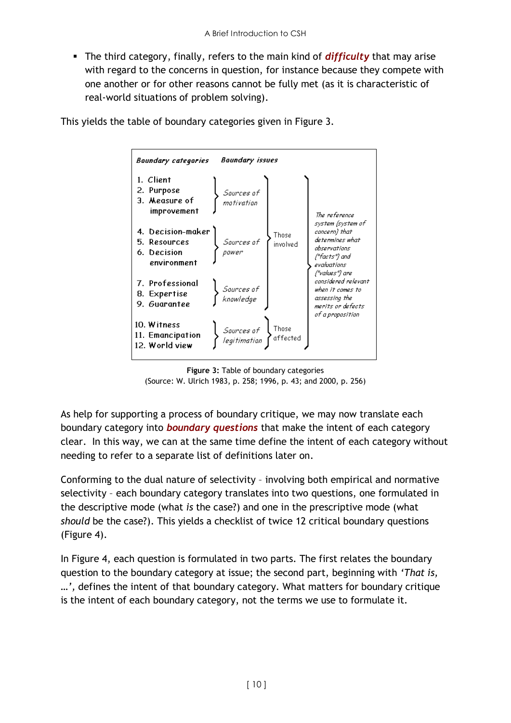The third category, finally, refers to the main kind of *difficulty* that may arise with regard to the concerns in question, for instance because they compete with one another or for other reasons cannot be fully met (as it is characteristic of real-world situations of problem solving).

This yields the table of boundary categories given in Figure 3.



**Figure 3:** Table of boundary categories (Source: W. Ulrich 1983, p. 258; 1996, p. 43; and 2000, p. 256)

As help for supporting a process of boundary critique, we may now translate each boundary category into *boundary questions* that make the intent of each category clear. In this way, we can at the same time define the intent of each category without needing to refer to a separate list of definitions later on.

Conforming to the dual nature of selectivity – involving both empirical and normative selectivity – each boundary category translates into two questions, one formulated in the descriptive mode (what *is* the case?) and one in the prescriptive mode (what *should* be the case?). This yields a checklist of twice 12 critical boundary questions (Figure 4).

In Figure 4, each question is formulated in two parts. The first relates the boundary question to the boundary category at issue; the second part, beginning with *'That is, …',* defines the intent of that boundary category. What matters for boundary critique is the intent of each boundary category, not the terms we use to formulate it.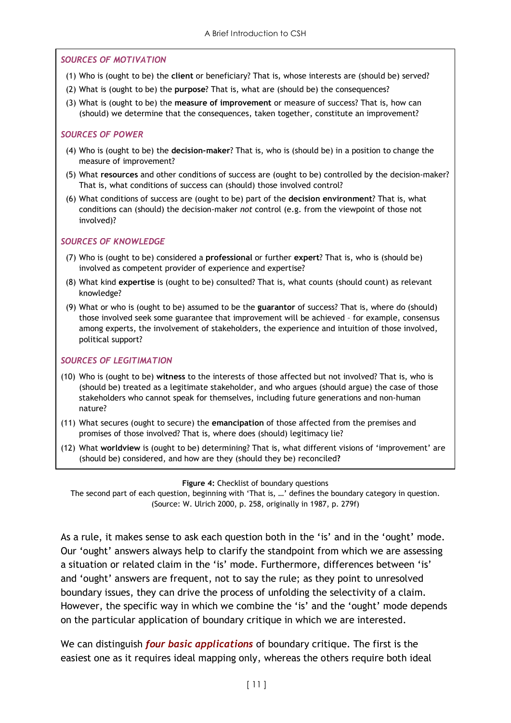#### *SOURCES OF MOTIVATION*

- (1) Who is (ought to be) the **client** or beneficiary? That is, whose interests are (should be) served?
- (2) What is (ought to be) the **purpose**? That is, what are (should be) the consequences?
- (3) What is (ought to be) the **measure of improvement** or measure of success? That is, how can (should) we determine that the consequences, taken together, constitute an improvement?

#### *SOURCES OF POWER*

- (4) Who is (ought to be) the **decision-maker**? That is, who is (should be) in a position to change the measure of improvement?
- (5) What **resources** and other conditions of success are (ought to be) controlled by the decision-maker? That is, what conditions of success can (should) those involved control?
- (6) What conditions of success are (ought to be) part of the **decision environment**? That is, what conditions can (should) the decision-maker *not* control (e.g. from the viewpoint of those not involved)?

#### *SOURCES OF KNOWLEDGE*

- (7) Who is (ought to be) considered a **professional** or further **expert**? That is, who is (should be) involved as competent provider of experience and expertise?
- (8) What kind **expertise** is (ought to be) consulted? That is, what counts (should count) as relevant knowledge?
- (9) What or who is (ought to be) assumed to be the **guarantor** of success? That is, where do (should) those involved seek some guarantee that improvement will be achieved – for example, consensus among experts, the involvement of stakeholders, the experience and intuition of those involved, political support?

#### *SOURCES OF LEGITIMATION*

- (10) Who is (ought to be) **witness** to the interests of those affected but not involved? That is, who is (should be) treated as a legitimate stakeholder, and who argues (should argue) the case of those stakeholders who cannot speak for themselves, including future generations and non-human nature?
- (11) What secures (ought to secure) the **emancipation** of those affected from the premises and promises of those involved? That is, where does (should) legitimacy lie?
- (12) What **worldview** is (ought to be) determining? That is, what different visions of 'improvement' are (should be) considered, and how are they (should they be) reconciled**?**

**Figure 4:** Checklist of boundary questions

The second part of each question, beginning with 'That is, …' defines the boundary category in question. (Source: W. Ulrich 2000, p. 258, originally in 1987, p. 279f)

As a rule, it makes sense to ask each question both in the 'is' and in the 'ought' mode. Our 'ought' answers always help to clarify the standpoint from which we are assessing a situation or related claim in the 'is' mode. Furthermore, differences between 'is' and 'ought' answers are frequent, not to say the rule; as they point to unresolved boundary issues, they can drive the process of unfolding the selectivity of a claim. However, the specific way in which we combine the 'is' and the 'ought' mode depends on the particular application of boundary critique in which we are interested.

We can distinguish *four basic applications* of boundary critique. The first is the easiest one as it requires ideal mapping only, whereas the others require both ideal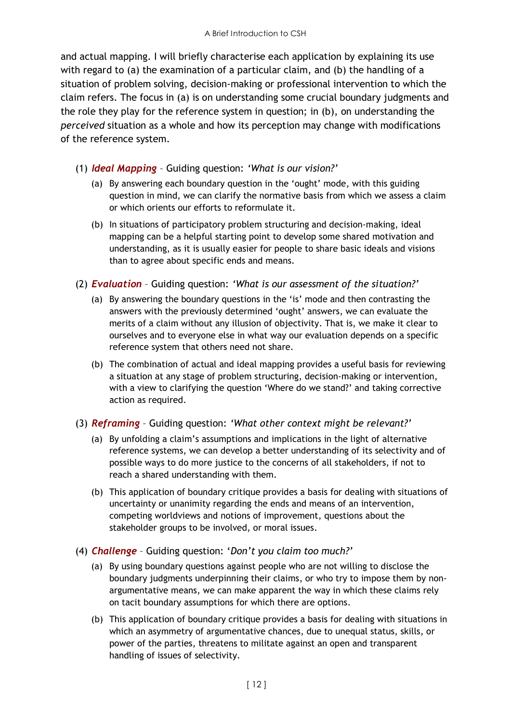and actual mapping. I will briefly characterise each application by explaining its use with regard to (a) the examination of a particular claim, and (b) the handling of a situation of problem solving, decision-making or professional intervention to which the claim refers. The focus in (a) is on understanding some crucial boundary judgments and the role they play for the reference system in question; in (b), on understanding the *perceived* situation as a whole and how its perception may change with modifications of the reference system.

- (1) *Ideal Mapping* Guiding question: *'What is our vision?'*
	- (a) By answering each boundary question in the 'ought' mode, with this guiding question in mind, we can clarify the normative basis from which we assess a claim or which orients our efforts to reformulate it.
	- (b) In situations of participatory problem structuring and decision-making, ideal mapping can be a helpful starting point to develop some shared motivation and understanding, as it is usually easier for people to share basic ideals and visions than to agree about specific ends and means.
- (2) *Evaluation* Guiding question: *'What is our assessment of the situation?'*
	- (a) By answering the boundary questions in the 'is' mode and then contrasting the answers with the previously determined 'ought' answers, we can evaluate the merits of a claim without any illusion of objectivity. That is, we make it clear to ourselves and to everyone else in what way our evaluation depends on a specific reference system that others need not share.
	- (b) The combination of actual and ideal mapping provides a useful basis for reviewing a situation at any stage of problem structuring, decision-making or intervention, with a view to clarifying the question 'Where do we stand?' and taking corrective action as required.
- (3) *Reframing* Guiding question: *'What other context might be relevant?'*
	- (a) By unfolding a claim's assumptions and implications in the light of alternative reference systems, we can develop a better understanding of its selectivity and of possible ways to do more justice to the concerns of all stakeholders, if not to reach a shared understanding with them.
	- (b) This application of boundary critique provides a basis for dealing with situations of uncertainty or unanimity regarding the ends and means of an intervention, competing worldviews and notions of improvement, questions about the stakeholder groups to be involved, or moral issues.
- (4) *Challenge* Guiding question: '*Don't you claim too much?'*
	- (a) By using boundary questions against people who are not willing to disclose the boundary judgments underpinning their claims, or who try to impose them by nonargumentative means, we can make apparent the way in which these claims rely on tacit boundary assumptions for which there are options.
	- (b) This application of boundary critique provides a basis for dealing with situations in which an asymmetry of argumentative chances, due to unequal status, skills, or power of the parties, threatens to militate against an open and transparent handling of issues of selectivity.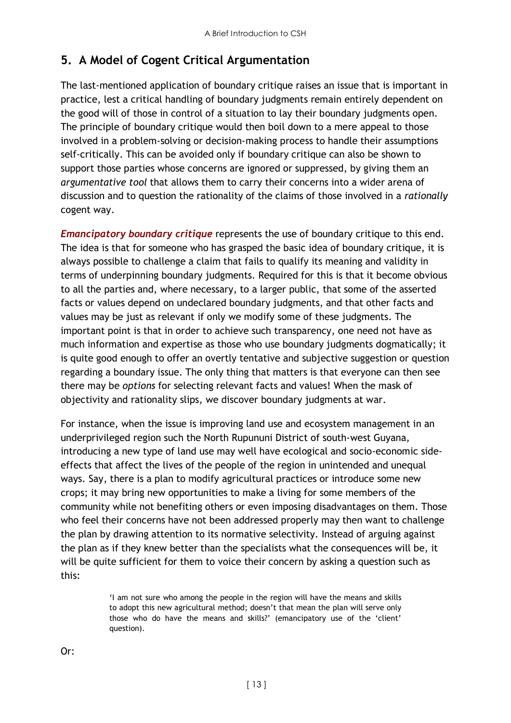## **5. A Model of Cogent Critical Argumentation**

The last-mentioned application of boundary critique raises an issue that is important in practice, lest a critical handling of boundary judgments remain entirely dependent on the good will of those in control of a situation to lay their boundary judgments open. The principle of boundary critique would then boil down to a mere appeal to those involved in a problem-solving or decision-making process to handle their assumptions self-critically. This can be avoided only if boundary critique can also be shown to support those parties whose concerns are ignored or suppressed, by giving them an *argumentative tool* that allows them to carry their concerns into a wider arena of discussion and to question the rationality of the claims of those involved in a *rationally* cogent way.

*Emancipatory boundary critique* represents the use of boundary critique to this end. The idea is that for someone who has grasped the basic idea of boundary critique, it is always possible to challenge a claim that fails to qualify its meaning and validity in terms of underpinning boundary judgments. Required for this is that it become obvious to all the parties and, where necessary, to a larger public, that some of the asserted facts or values depend on undeclared boundary judgments, and that other facts and values may be just as relevant if only we modify some of these judgments. The important point is that in order to achieve such transparency, one need not have as much information and expertise as those who use boundary judgments dogmatically; it is quite good enough to offer an overtly tentative and subjective suggestion or question regarding a boundary issue. The only thing that matters is that everyone can then see there may be *options* for selecting relevant facts and values! When the mask of objectivity and rationality slips, we discover boundary judgments at war.

For instance, when the issue is improving land use and ecosystem management in an underprivileged region such the North Rupununi District of south-west Guyana, introducing a new type of land use may well have ecological and socio-economic sideeffects that affect the lives of the people of the region in unintended and unequal ways. Say, there is a plan to modify agricultural practices or introduce some new crops; it may bring new opportunities to make a living for some members of the community while not benefiting others or even imposing disadvantages on them. Those who feel their concerns have not been addressed properly may then want to challenge the plan by drawing attention to its normative selectivity. Instead of arguing against the plan as if they knew better than the specialists what the consequences will be, it will be quite sufficient for them to voice their concern by asking a question such as this:

> 'I am not sure who among the people in the region will have the means and skills to adopt this new agricultural method; doesn't that mean the plan will serve only those who do have the means and skills?' (emancipatory use of the 'client' question).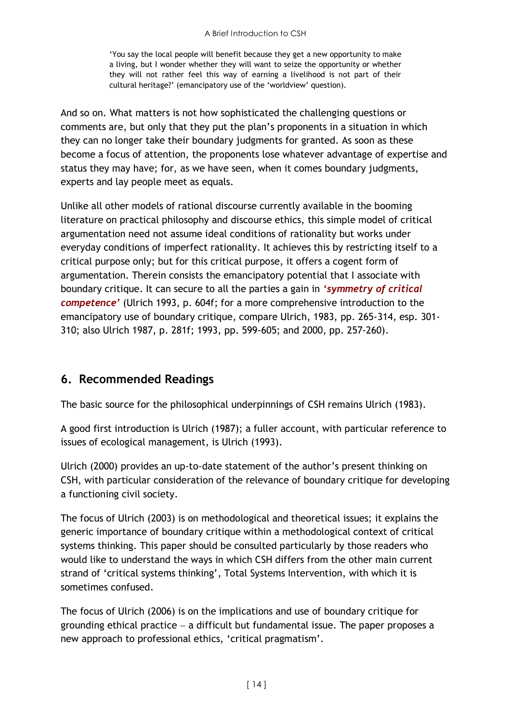'You say the local people will benefit because they get a new opportunity to make a living, but I wonder whether they will want to seize the opportunity or whether they will not rather feel this way of earning a livelihood is not part of their cultural heritage?' (emancipatory use of the 'worldview' question).

And so on. What matters is not how sophisticated the challenging questions or comments are, but only that they put the plan's proponents in a situation in which they can no longer take their boundary judgments for granted. As soon as these become a focus of attention, the proponents lose whatever advantage of expertise and status they may have; for, as we have seen, when it comes boundary judgments, experts and lay people meet as equals.

Unlike all other models of rational discourse currently available in the booming literature on practical philosophy and discourse ethics, this simple model of critical argumentation need not assume ideal conditions of rationality but works under everyday conditions of imperfect rationality. It achieves this by restricting itself to a critical purpose only; but for this critical purpose, it offers a cogent form of argumentation. Therein consists the emancipatory potential that I associate with boundary critique. It can secure to all the parties a gain in *'symmetry of critical competence'* (Ulrich 1993, p. 604f; for a more comprehensive introduction to the emancipatory use of boundary critique, compare Ulrich, 1983, pp. 265-314, esp. 301- 310; also Ulrich 1987, p. 281f; 1993, pp. 599-605; and 2000, pp. 257-260).

## **6. Recommended Readings**

The basic source for the philosophical underpinnings of CSH remains Ulrich (1983).

A good first introduction is Ulrich (1987); a fuller account, with particular reference to issues of ecological management, is Ulrich (1993).

Ulrich (2000) provides an up-to-date statement of the author's present thinking on CSH, with particular consideration of the relevance of boundary critique for developing a functioning civil society.

The focus of Ulrich (2003) is on methodological and theoretical issues; it explains the generic importance of boundary critique within a methodological context of critical systems thinking. This paper should be consulted particularly by those readers who would like to understand the ways in which CSH differs from the other main current strand of 'critical systems thinking', Total Systems Intervention, with which it is sometimes confused.

The focus of Ulrich (2006) is on the implications and use of boundary critique for grounding ethical practice  $-$  a difficult but fundamental issue. The paper proposes a new approach to professional ethics, 'critical pragmatism'.